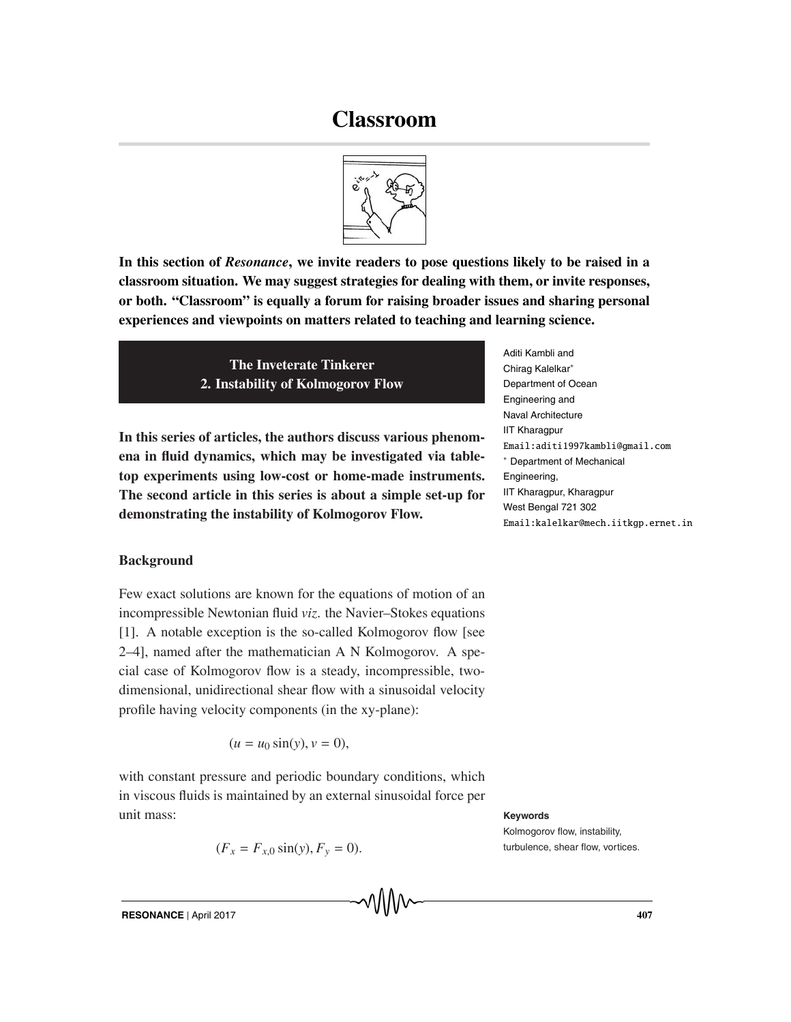# **Classroom**



**In this section of** *Resonance***, we invite readers to pose questions likely to be raised in a classroom situation. We may suggest strategies for dealing with them, or invite responses, or both. "Classroom" is equally a forum for raising broader issues and sharing personal experiences and viewpoints on matters related to teaching and learning science.**

> **The Inveterate Tinkerer 2. Instability of Kolmogorov Flow**

**In this series of articles, the authors discuss various phenomena in fluid dynamics, which may be investigated via tabletop experiments using low-cost or home-made instruments. The second article in this series is about a simple set-up for demonstrating the instability of Kolmogorov Flow.**

Aditi Kambli and Chirag Kalelkar∗ Department of Ocean Engineering and Naval Architecture IIT Kharagpur Email:aditi1997kambli@gmail.com ∗ Department of Mechanical Engineering, IIT Kharagpur, Kharagpur West Bengal 721 302 Email:kalelkar@mech.iitkgp.ernet.in

## **Background**

Few exact solutions are known for the equations of motion of an incompressible Newtonian fluid *viz*. the Navier–Stokes equations [1]. A notable exception is the so-called Kolmogorov flow [see 2–4], named after the mathematician A N Kolmogorov. A special case of Kolmogorov flow is a steady, incompressible, twodimensional, unidirectional shear flow with a sinusoidal velocity profile having velocity components (in the xy-plane):

$$
(u = u_0 \sin(y), v = 0),
$$

with constant pressure and periodic boundary conditions, which in viscous fluids is maintained by an external sinusoidal force per unit mass: **Keywords**

$$
(F_x = F_{x,0} \sin(y), F_y = 0).
$$

Kolmogorov flow, instability,  $turbulence.$  shear flow, vortices.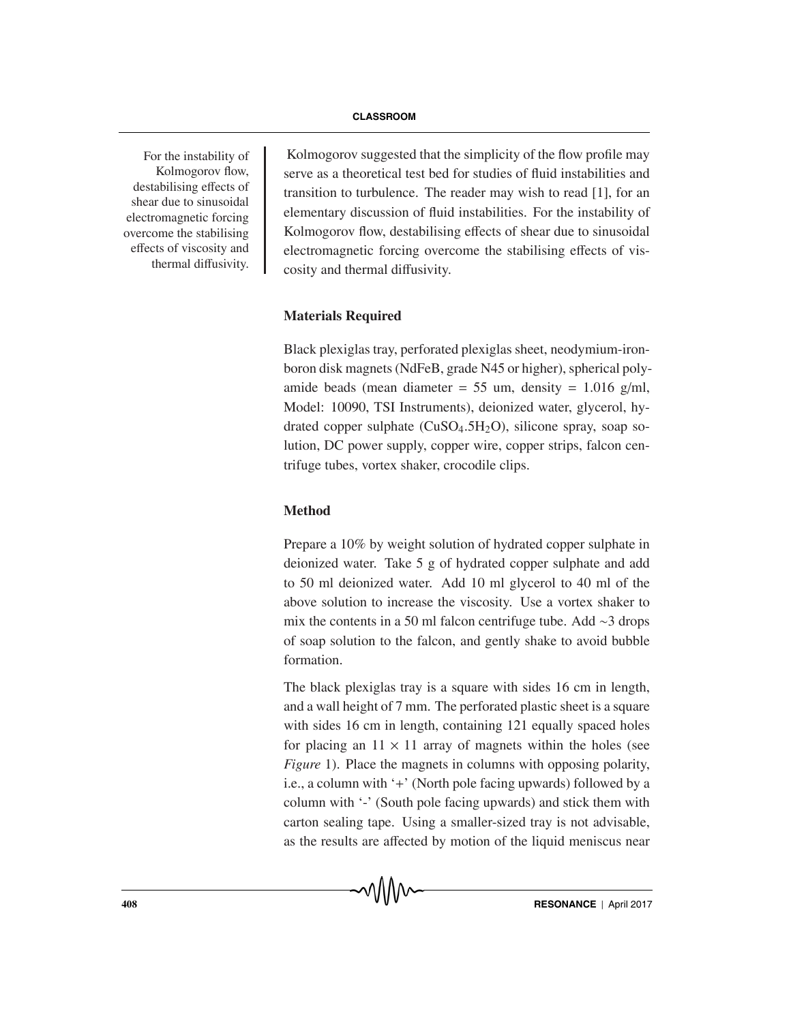For the instability of Kolmogorov flow, destabilising effects of shear due to sinusoidal electromagnetic forcing overcome the stabilising effects of viscosity and thermal diffusivity.

Kolmogorov suggested that the simplicity of the flow profile may serve as a theoretical test bed for studies of fluid instabilities and transition to turbulence. The reader may wish to read [1], for an elementary discussion of fluid instabilities. For the instability of Kolmogorov flow, destabilising effects of shear due to sinusoidal electromagnetic forcing overcome the stabilising effects of viscosity and thermal diffusivity.

#### **Materials Required**

Black plexiglas tray, perforated plexiglas sheet, neodymium-ironboron disk magnets (NdFeB, grade N45 or higher), spherical polyamide beads (mean diameter =  $55 \text{ um}$ , density =  $1.016 \text{ g/ml}$ , Model: 10090, TSI Instruments), deionized water, glycerol, hydrated copper sulphate  $(CuSO<sub>4</sub>.5H<sub>2</sub>O)$ , silicone spray, soap solution, DC power supply, copper wire, copper strips, falcon centrifuge tubes, vortex shaker, crocodile clips.

## **Method**

Prepare a 10% by weight solution of hydrated copper sulphate in deionized water. Take 5 g of hydrated copper sulphate and add to 50 ml deionized water. Add 10 ml glycerol to 40 ml of the above solution to increase the viscosity. Use a vortex shaker to mix the contents in a 50 ml falcon centrifuge tube. Add ∼3 drops of soap solution to the falcon, and gently shake to avoid bubble formation.

The black plexiglas tray is a square with sides 16 cm in length, and a wall height of 7 mm. The perforated plastic sheet is a square with sides 16 cm in length, containing 121 equally spaced holes for placing an  $11 \times 11$  array of magnets within the holes (see *Figure* 1). Place the magnets in columns with opposing polarity, i.e., a column with '+' (North pole facing upwards) followed by a column with '-' (South pole facing upwards) and stick them with carton sealing tape. Using a smaller-sized tray is not advisable, as the results are affected by motion of the liquid meniscus near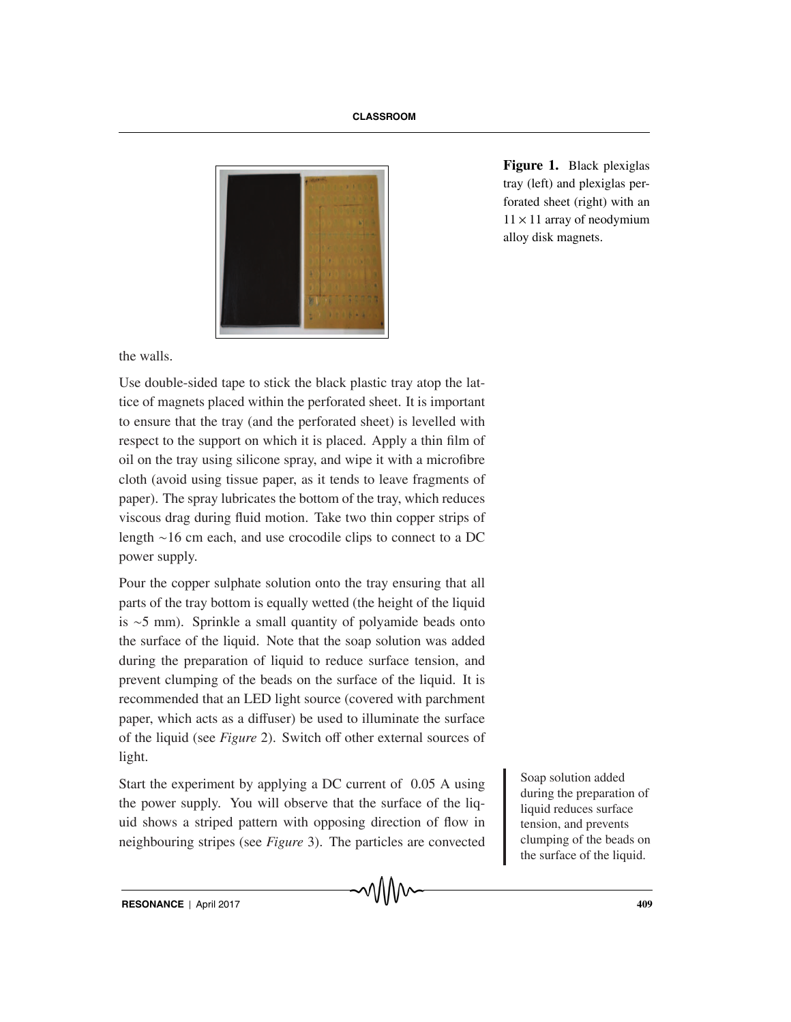

**Figure 1.** Black plexiglas tray (left) and plexiglas perforated sheet (right) with an  $11 \times 11$  array of neodymium alloy disk magnets.

the walls.

Use double-sided tape to stick the black plastic tray atop the lattice of magnets placed within the perforated sheet. It is important to ensure that the tray (and the perforated sheet) is levelled with respect to the support on which it is placed. Apply a thin film of oil on the tray using silicone spray, and wipe it with a microfibre cloth (avoid using tissue paper, as it tends to leave fragments of paper). The spray lubricates the bottom of the tray, which reduces viscous drag during fluid motion. Take two thin copper strips of length ∼16 cm each, and use crocodile clips to connect to a DC power supply.

Pour the copper sulphate solution onto the tray ensuring that all parts of the tray bottom is equally wetted (the height of the liquid is ∼5 mm). Sprinkle a small quantity of polyamide beads onto the surface of the liquid. Note that the soap solution was added during the preparation of liquid to reduce surface tension, and prevent clumping of the beads on the surface of the liquid. It is recommended that an LED light source (covered with parchment paper, which acts as a diffuser) be used to illuminate the surface of the liquid (see *Figure* 2). Switch off other external sources of light.

Start the experiment by applying a DC current of 0.05 A using the power supply. You will observe that the surface of the liquid shows a striped pattern with opposing direction of flow in neighbouring stripes (see *Figure* 3). The particles are convected

Soap solution added during the preparation of liquid reduces surface tension, and prevents clumping of the beads on the surface of the liquid.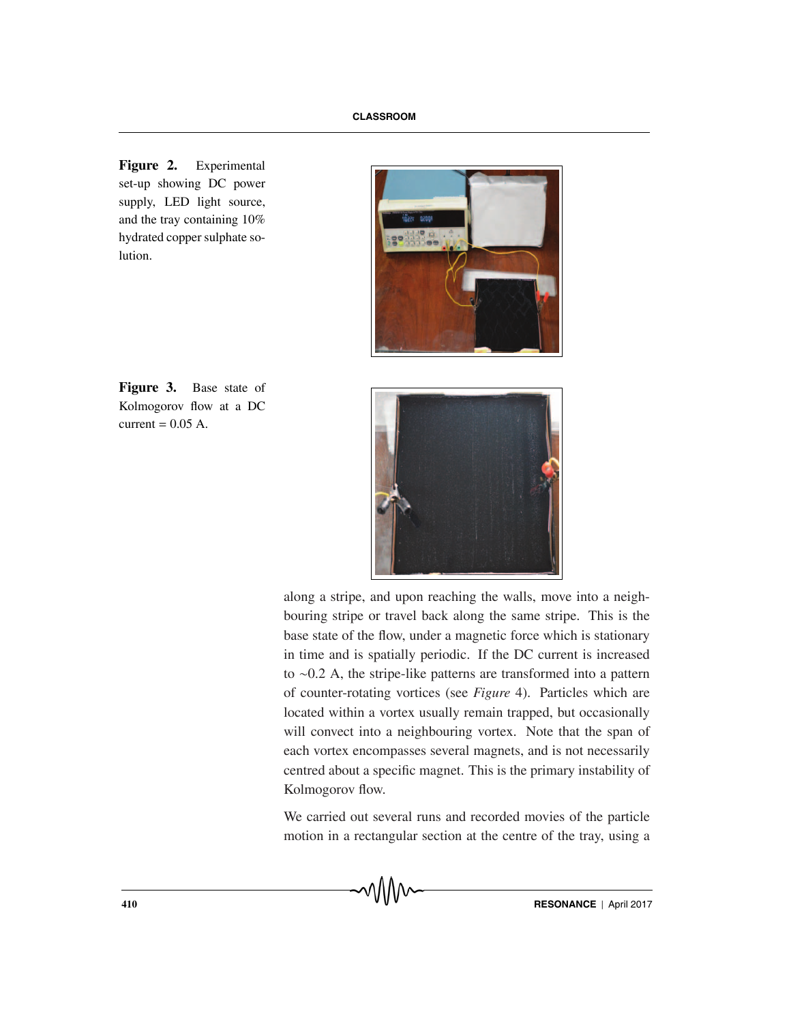**Figure 2.** Experimental set-up showing DC power supply, LED light source, and the tray containing 10% hydrated copper sulphate solution.







along a stripe, and upon reaching the walls, move into a neighbouring stripe or travel back along the same stripe. This is the base state of the flow, under a magnetic force which is stationary in time and is spatially periodic. If the DC current is increased to ∼0.2 A, the stripe-like patterns are transformed into a pattern of counter-rotating vortices (see *Figure* 4). Particles which are located within a vortex usually remain trapped, but occasionally will convect into a neighbouring vortex. Note that the span of each vortex encompasses several magnets, and is not necessarily centred about a specific magnet. This is the primary instability of Kolmogorov flow.

We carried out several runs and recorded movies of the particle motion in a rectangular section at the centre of the tray, using a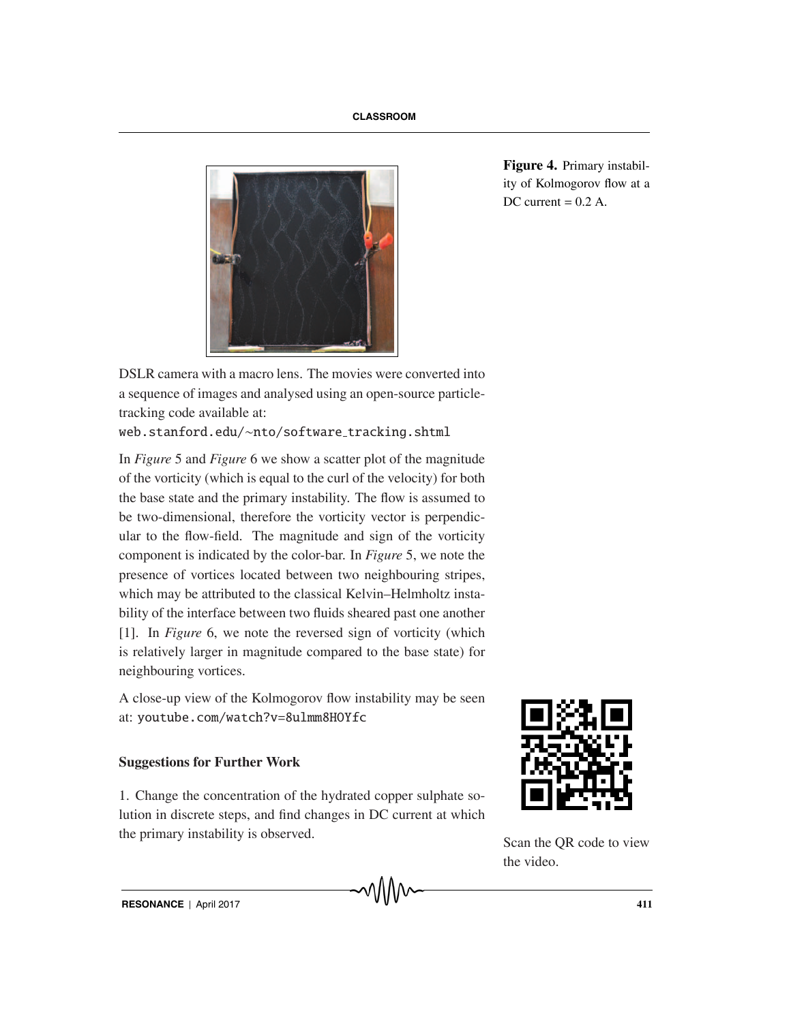

**Figure 4.** Primary instability of Kolmogorov flow at a DC current  $= 0.2$  A.

DSLR camera with a macro lens. The movies were converted into a sequence of images and analysed using an open-source particletracking code available at:

```
web.stanford.edu/~nto/software_tracking.shtml
```
In *Figure* 5 and *Figure* 6 we show a scatter plot of the magnitude of the vorticity (which is equal to the curl of the velocity) for both the base state and the primary instability. The flow is assumed to be two-dimensional, therefore the vorticity vector is perpendicular to the flow-field. The magnitude and sign of the vorticity component is indicated by the color-bar. In *Figure* 5, we note the presence of vortices located between two neighbouring stripes, which may be attributed to the classical Kelvin–Helmholtz instability of the interface between two fluids sheared past one another [1]. In *Figure* 6, we note the reversed sign of vorticity (which is relatively larger in magnitude compared to the base state) for neighbouring vortices.

A close-up view of the Kolmogorov flow instability may be seen at: youtube.com/watch?v=8ulmm8HOYfc

## **Suggestions for Further Work**

1. Change the concentration of the hydrated copper sulphate solution in discrete steps, and find changes in DC current at which the primary instability is observed.



Scan the QR code to view the video.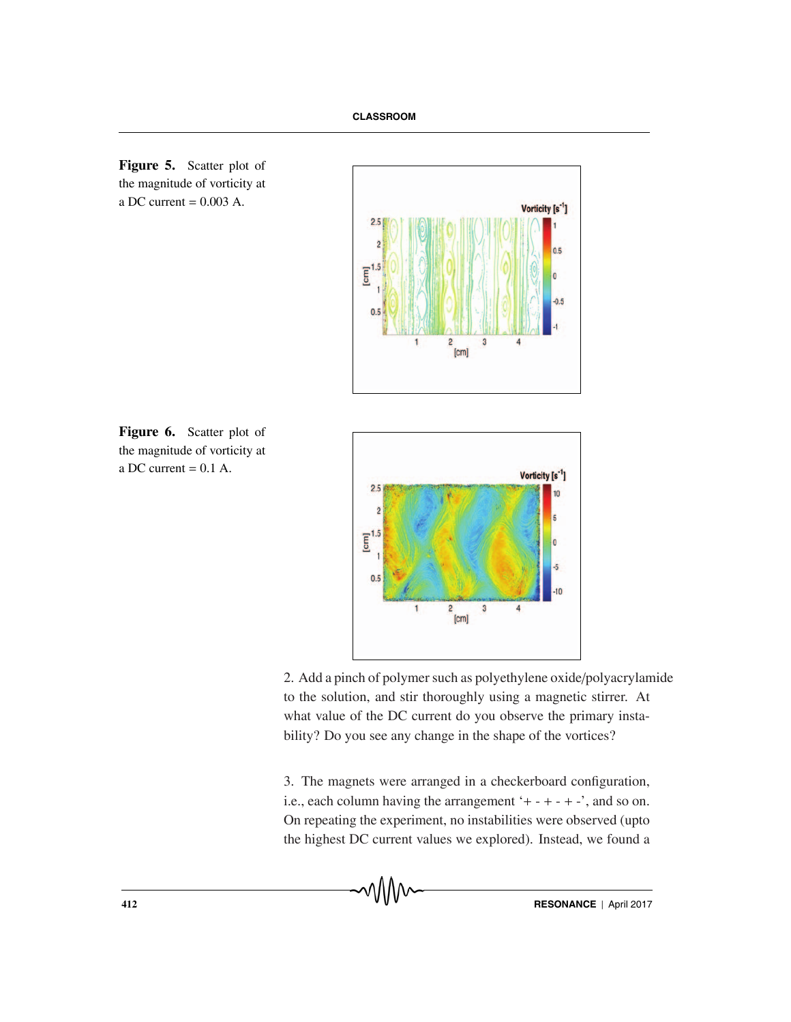







2. Add a pinch of polymer such as polyethylene oxide/polyacrylamide to the solution, and stir thoroughly using a magnetic stirrer. At what value of the DC current do you observe the primary instability? Do you see any change in the shape of the vortices?

3. The magnets were arranged in a checkerboard configuration, i.e., each column having the arrangement  $+ - + - + -$ , and so on. On repeating the experiment, no instabilities were observed (upto the highest DC current values we explored). Instead, we found a